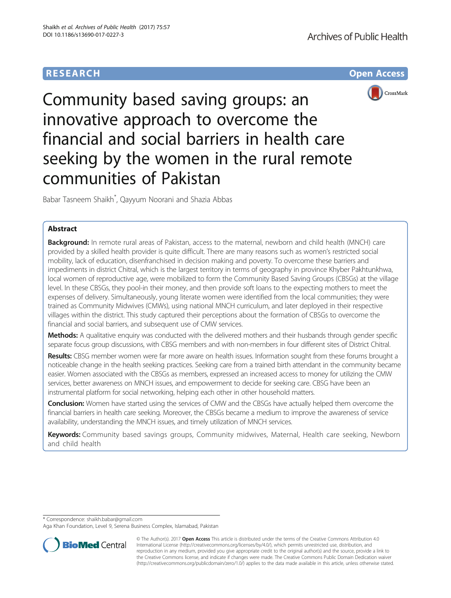## **RESEARCH CHE Open Access**



# Community based saving groups: an innovative approach to overcome the financial and social barriers in health care seeking by the women in the rural remote communities of Pakistan

Babar Tasneem Shaikh\* , Qayyum Noorani and Shazia Abbas

## Abstract

Background: In remote rural areas of Pakistan, access to the maternal, newborn and child health (MNCH) care provided by a skilled health provider is quite difficult. There are many reasons such as women's restricted social mobility, lack of education, disenfranchised in decision making and poverty. To overcome these barriers and impediments in district Chitral, which is the largest territory in terms of geography in province Khyber Pakhtunkhwa, local women of reproductive age, were mobilized to form the Community Based Saving Groups (CBSGs) at the village level. In these CBSGs, they pool-in their money, and then provide soft loans to the expecting mothers to meet the expenses of delivery. Simultaneously, young literate women were identified from the local communities; they were trained as Community Midwives (CMWs), using national MNCH curriculum, and later deployed in their respective villages within the district. This study captured their perceptions about the formation of CBSGs to overcome the financial and social barriers, and subsequent use of CMW services.

Methods: A qualitative enquiry was conducted with the delivered mothers and their husbands through gender specific separate focus group discussions, with CBSG members and with non-members in four different sites of District Chitral.

Results: CBSG member women were far more aware on health issues. Information sought from these forums brought a noticeable change in the health seeking practices. Seeking care from a trained birth attendant in the community became easier. Women associated with the CBSGs as members, expressed an increased access to money for utilizing the CMW services, better awareness on MNCH issues, and empowerment to decide for seeking care. CBSG have been an instrumental platform for social networking, helping each other in other household matters.

Conclusion: Women have started using the services of CMW and the CBSGs have actually helped them overcome the financial barriers in health care seeking. Moreover, the CBSGs became a medium to improve the awareness of service availability, understanding the MNCH issues, and timely utilization of MNCH services.

Keywords: Community based savings groups, Community midwives, Maternal, Health care seeking, Newborn and child health

\* Correspondence: [shaikh.babar@gmail.com](mailto:shaikh.babar@gmail.com)

Aga Khan Foundation, Level 9, Serena Business Complex, Islamabad, Pakistan



© The Author(s). 2017 **Open Access** This article is distributed under the terms of the Creative Commons Attribution 4.0 International License [\(http://creativecommons.org/licenses/by/4.0/](http://creativecommons.org/licenses/by/4.0/)), which permits unrestricted use, distribution, and reproduction in any medium, provided you give appropriate credit to the original author(s) and the source, provide a link to the Creative Commons license, and indicate if changes were made. The Creative Commons Public Domain Dedication waiver [\(http://creativecommons.org/publicdomain/zero/1.0/](http://creativecommons.org/publicdomain/zero/1.0/)) applies to the data made available in this article, unless otherwise stated.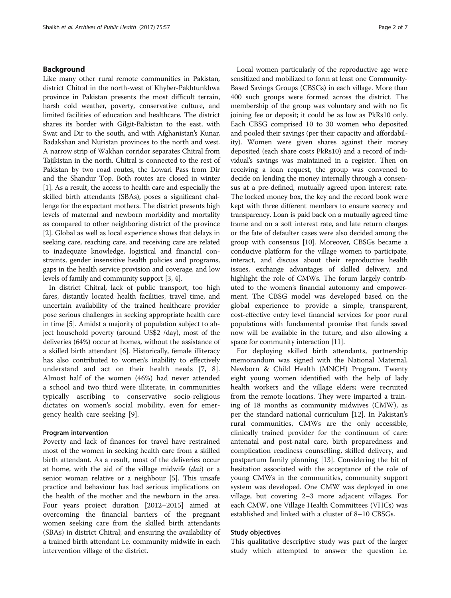## Background

Like many other rural remote communities in Pakistan, district Chitral in the north-west of Khyber-Pakhtunkhwa province in Pakistan presents the most difficult terrain, harsh cold weather, poverty, conservative culture, and limited facilities of education and healthcare. The district shares its border with Gilgit-Baltistan to the east, with Swat and Dir to the south, and with Afghanistan's Kunar, Badakshan and Nuristan provinces to the north and west. A narrow strip of Wakhan corridor separates Chitral from Tajikistan in the north. Chitral is connected to the rest of Pakistan by two road routes, the Lowari Pass from Dir and the Shandur Top. Both routes are closed in winter [[1\]](#page-6-0). As a result, the access to health care and especially the skilled birth attendants (SBAs), poses a significant challenge for the expectant mothers. The district presents high levels of maternal and newborn morbidity and mortality as compared to other neighboring district of the province [[2\]](#page-6-0). Global as well as local experience shows that delays in seeking care, reaching care, and receiving care are related to inadequate knowledge, logistical and financial constraints, gender insensitive health policies and programs, gaps in the health service provision and coverage, and low levels of family and community support [\[3](#page-6-0), [4\]](#page-6-0).

In district Chitral, lack of public transport, too high fares, distantly located health facilities, travel time, and uncertain availability of the trained healthcare provider pose serious challenges in seeking appropriate health care in time [\[5](#page-6-0)]. Amidst a majority of population subject to abject household poverty (around US\$2 /day), most of the deliveries (64%) occur at homes, without the assistance of a skilled birth attendant [[6\]](#page-6-0). Historically, female illiteracy has also contributed to women's inability to effectively understand and act on their health needs [[7, 8](#page-6-0)]. Almost half of the women (46%) had never attended a school and two third were illiterate, in communities typically ascribing to conservative socio-religious dictates on women's social mobility, even for emergency health care seeking [[9](#page-6-0)].

## Program intervention

Poverty and lack of finances for travel have restrained most of the women in seeking health care from a skilled birth attendant. As a result, most of the deliveries occur at home, with the aid of the village midwife (dai) or a senior woman relative or a neighbour [[5\]](#page-6-0). This unsafe practice and behaviour has had serious implications on the health of the mother and the newborn in the area. Four years project duration [2012–2015] aimed at overcoming the financial barriers of the pregnant women seeking care from the skilled birth attendants (SBAs) in district Chitral; and ensuring the availability of a trained birth attendant i.e. community midwife in each intervention village of the district.

Local women particularly of the reproductive age were sensitized and mobilized to form at least one Community-Based Savings Groups (CBSGs) in each village. More than 400 such groups were formed across the district. The membership of the group was voluntary and with no fix joining fee or deposit; it could be as low as PkRs10 only. Each CBSG comprised 10 to 30 women who deposited and pooled their savings (per their capacity and affordability). Women were given shares against their money deposited (each share costs PkRs10) and a record of individual's savings was maintained in a register. Then on receiving a loan request, the group was convened to decide on lending the money internally through a consensus at a pre-defined, mutually agreed upon interest rate. The locked money box, the key and the record book were kept with three different members to ensure secrecy and transparency. Loan is paid back on a mutually agreed time frame and on a soft interest rate, and late return charges or the fate of defaulter cases were also decided among the group with consensus [[10](#page-6-0)]. Moreover, CBSGs became a conducive platform for the village women to participate, interact, and discuss about their reproductive health issues, exchange advantages of skilled delivery, and highlight the role of CMWs. The forum largely contributed to the women's financial autonomy and empowerment. The CBSG model was developed based on the global experience to provide a simple, transparent, cost-effective entry level financial services for poor rural populations with fundamental promise that funds saved now will be available in the future, and also allowing a space for community interaction [[11](#page-6-0)].

For deploying skilled birth attendants, partnership memorandum was signed with the National Maternal, Newborn & Child Health (MNCH) Program. Twenty eight young women identified with the help of lady health workers and the village elders; were recruited from the remote locations. They were imparted a training of 18 months as community midwives (CMW), as per the standard national curriculum [[12](#page-6-0)]. In Pakistan's rural communities, CMWs are the only accessible, clinically trained provider for the continuum of care: antenatal and post-natal care, birth preparedness and complication readiness counselling, skilled delivery, and postpartum family planning [\[13\]](#page-6-0). Considering the bit of hesitation associated with the acceptance of the role of young CMWs in the communities, community support system was developed. One CMW was deployed in one village, but covering 2–3 more adjacent villages. For each CMW, one Village Health Committees (VHCs) was established and linked with a cluster of 8–10 CBSGs.

### Study objectives

This qualitative descriptive study was part of the larger study which attempted to answer the question i.e.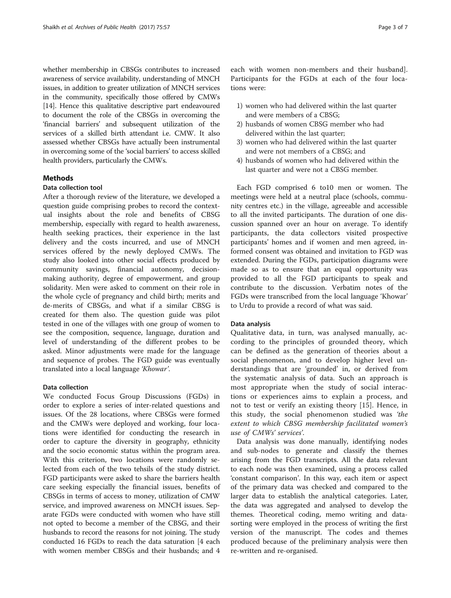whether membership in CBSGs contributes to increased awareness of service availability, understanding of MNCH issues, in addition to greater utilization of MNCH services in the community, specifically those offered by CMWs [[14](#page-6-0)]. Hence this qualitative descriptive part endeavoured to document the role of the CBSGs in overcoming the 'financial barriers' and subsequent utilization of the services of a skilled birth attendant i.e. CMW. It also assessed whether CBSGs have actually been instrumental in overcoming some of the 'social barriers' to access skilled health providers, particularly the CMWs.

## Methods

## Data collection tool

After a thorough review of the literature, we developed a question guide comprising probes to record the contextual insights about the role and benefits of CBSG membership, especially with regard to health awareness, health seeking practices, their experience in the last delivery and the costs incurred, and use of MNCH services offered by the newly deployed CMWs. The study also looked into other social effects produced by community savings, financial autonomy, decisionmaking authority, degree of empowerment, and group solidarity. Men were asked to comment on their role in the whole cycle of pregnancy and child birth; merits and de-merits of CBSGs, and what if a similar CBSG is created for them also. The question guide was pilot tested in one of the villages with one group of women to see the composition, sequence, language, duration and level of understanding of the different probes to be asked. Minor adjustments were made for the language and sequence of probes. The FGD guide was eventually translated into a local language 'Khowar'.

## Data collection

We conducted Focus Group Discussions (FGDs) in order to explore a series of inter-related questions and issues. Of the 28 locations, where CBSGs were formed and the CMWs were deployed and working, four locations were identified for conducting the research in order to capture the diversity in geography, ethnicity and the socio economic status within the program area. With this criterion, two locations were randomly selected from each of the two tehsils of the study district. FGD participants were asked to share the barriers health care seeking especially the financial issues, benefits of CBSGs in terms of access to money, utilization of CMW service, and improved awareness on MNCH issues. Separate FGDs were conducted with women who have still not opted to become a member of the CBSG, and their husbands to record the reasons for not joining. The study conducted 16 FGDs to reach the data saturation [4 each with women member CBSGs and their husbands; and 4 each with women non-members and their husband]. Participants for the FGDs at each of the four locations were:

- 1) women who had delivered within the last quarter and were members of a CBSG;
- 2) husbands of women CBSG member who had delivered within the last quarter;
- 3) women who had delivered within the last quarter and were not members of a CBSG; and
- 4) husbands of women who had delivered within the last quarter and were not a CBSG member.

Each FGD comprised 6 to10 men or women. The meetings were held at a neutral place (schools, community centres etc.) in the village, agreeable and accessible to all the invited participants. The duration of one discussion spanned over an hour on average. To identify participants, the data collectors visited prospective participants' homes and if women and men agreed, informed consent was obtained and invitation to FGD was extended. During the FGDs, participation diagrams were made so as to ensure that an equal opportunity was provided to all the FGD participants to speak and contribute to the discussion. Verbatim notes of the FGDs were transcribed from the local language 'Khowar' to Urdu to provide a record of what was said.

#### Data analysis

Qualitative data, in turn, was analysed manually, according to the principles of grounded theory, which can be defined as the generation of theories about a social phenomenon, and to develop higher level understandings that are 'grounded' in, or derived from the systematic analysis of data. Such an approach is most appropriate when the study of social interactions or experiences aims to explain a process, and not to test or verify an existing theory [\[15](#page-6-0)]. Hence, in this study, the social phenomenon studied was 'the extent to which CBSG membership facilitated women's use of CMWs' services'.

Data analysis was done manually, identifying nodes and sub-nodes to generate and classify the themes arising from the FGD transcripts. All the data relevant to each node was then examined, using a process called 'constant comparison'. In this way, each item or aspect of the primary data was checked and compared to the larger data to establish the analytical categories. Later, the data was aggregated and analysed to develop the themes. Theoretical coding, memo writing and datasorting were employed in the process of writing the first version of the manuscript. The codes and themes produced because of the preliminary analysis were then re-written and re-organised.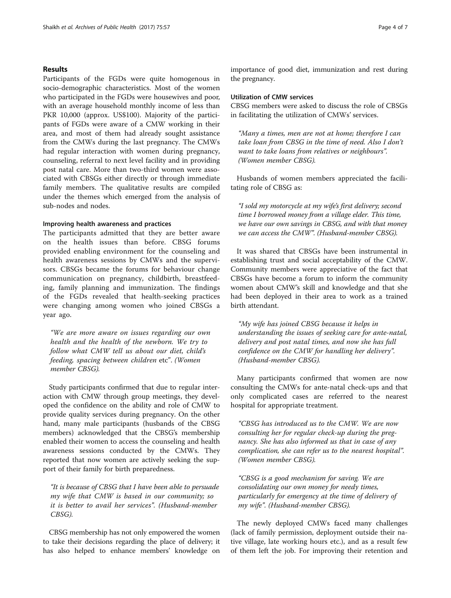## Results

Participants of the FGDs were quite homogenous in socio-demographic characteristics. Most of the women who participated in the FGDs were housewives and poor, with an average household monthly income of less than PKR 10,000 (approx. US\$100). Majority of the participants of FGDs were aware of a CMW working in their area, and most of them had already sought assistance from the CMWs during the last pregnancy. The CMWs had regular interaction with women during pregnancy, counseling, referral to next level facility and in providing post natal care. More than two-third women were associated with CBSGs either directly or through immediate family members. The qualitative results are compiled under the themes which emerged from the analysis of sub-nodes and nodes.

## Improving health awareness and practices

The participants admitted that they are better aware on the health issues than before. CBSG forums provided enabling environment for the counseling and health awareness sessions by CMWs and the supervisors. CBSGs became the forums for behaviour change communication on pregnancy, childbirth, breastfeeding, family planning and immunization. The findings of the FGDs revealed that health-seeking practices were changing among women who joined CBSGs a year ago.

"We are more aware on issues regarding our own health and the health of the newborn. We try to follow what CMW tell us about our diet, child's feeding, spacing between children etc". (Women member CBSG).

Study participants confirmed that due to regular interaction with CMW through group meetings, they developed the confidence on the ability and role of CMW to provide quality services during pregnancy. On the other hand, many male participants (husbands of the CBSG members) acknowledged that the CBSG's membership enabled their women to access the counseling and health awareness sessions conducted by the CMWs. They reported that now women are actively seeking the support of their family for birth preparedness.

"It is because of CBSG that I have been able to persuade my wife that CMW is based in our community; so it is better to avail her services". (Husband-member CBSG).

CBSG membership has not only empowered the women to take their decisions regarding the place of delivery; it has also helped to enhance members' knowledge on importance of good diet, immunization and rest during the pregnancy.

#### Utilization of CMW services

CBSG members were asked to discuss the role of CBSGs in facilitating the utilization of CMWs' services.

"Many a times, men are not at home; therefore I can take loan from CBSG in the time of need. Also I don't want to take loans from relatives or neighbours". (Women member CBSG).

Husbands of women members appreciated the facilitating role of CBSG as:

"I sold my motorcycle at my wife's first delivery; second time I borrowed money from a village elder. This time, we have our own savings in CBSG, and with that money we can access the CMW". (Husband-member CBSG).

It was shared that CBSGs have been instrumental in establishing trust and social acceptability of the CMW. Community members were appreciative of the fact that CBSGs have become a forum to inform the community women about CMW's skill and knowledge and that she had been deployed in their area to work as a trained birth attendant.

"My wife has joined CBSG because it helps in understanding the issues of seeking care for ante-natal, delivery and post natal times, and now she has full confidence on the CMW for handling her delivery". (Husband-member CBSG).

Many participants confirmed that women are now consulting the CMWs for ante-natal check-ups and that only complicated cases are referred to the nearest hospital for appropriate treatment.

"CBSG has introduced us to the CMW. We are now consulting her for regular check-up during the pregnancy. She has also informed us that in case of any complication, she can refer us to the nearest hospital". (Women member CBSG).

"CBSG is a good mechanism for saving. We are consolidating our own money for needy times, particularly for emergency at the time of delivery of my wife". (Husband-member CBSG).

The newly deployed CMWs faced many challenges (lack of family permission, deployment outside their native village, late working hours etc.), and as a result few of them left the job. For improving their retention and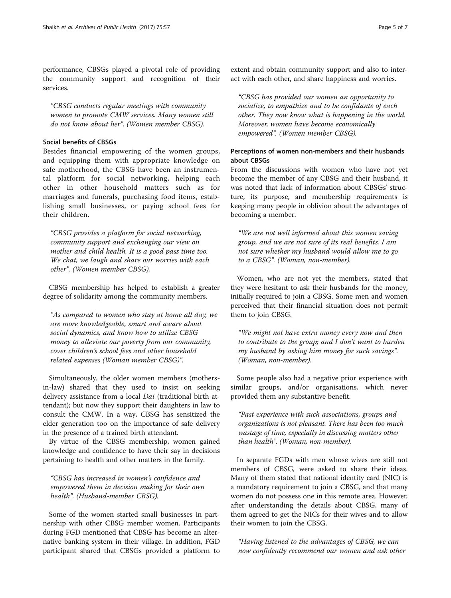performance, CBSGs played a pivotal role of providing the community support and recognition of their services.

"CBSG conducts regular meetings with community women to promote CMW services. Many women still do not know about her". (Women member CBSG).

## Social benefits of CBSGs

Besides financial empowering of the women groups, and equipping them with appropriate knowledge on safe motherhood, the CBSG have been an instrumental platform for social networking, helping each other in other household matters such as for marriages and funerals, purchasing food items, establishing small businesses, or paying school fees for their children.

"CBSG provides a platform for social networking, community support and exchanging our view on mother and child health. It is a good pass time too. We chat, we laugh and share our worries with each other". (Women member CBSG).

CBSG membership has helped to establish a greater degree of solidarity among the community members.

"As compared to women who stay at home all day, we are more knowledgeable, smart and aware about social dynamics, and know how to utilize CBSG money to alleviate our poverty from our community, cover children's school fees and other household related expenses (Woman member CBSG)".

Simultaneously, the older women members (mothersin-law) shared that they used to insist on seeking delivery assistance from a local Dai (traditional birth attendant); but now they support their daughters in law to consult the CMW. In a way, CBSG has sensitized the elder generation too on the importance of safe delivery in the presence of a trained birth attendant.

By virtue of the CBSG membership, women gained knowledge and confidence to have their say in decisions pertaining to health and other matters in the family.

"CBSG has increased in women's confidence and empowered them in decision making for their own health". (Husband-member CBSG).

Some of the women started small businesses in partnership with other CBSG member women. Participants during FGD mentioned that CBSG has become an alternative banking system in their village. In addition, FGD participant shared that CBSGs provided a platform to

extent and obtain community support and also to interact with each other, and share happiness and worries.

"CBSG has provided our women an opportunity to socialize, to empathize and to be confidante of each other. They now know what is happening in the world. Moreover, women have become economically empowered". (Women member CBSG).

## Perceptions of women non-members and their husbands about CBSGs

From the discussions with women who have not yet become the member of any CBSG and their husband, it was noted that lack of information about CBSGs' structure, its purpose, and membership requirements is keeping many people in oblivion about the advantages of becoming a member.

"We are not well informed about this women saving group, and we are not sure of its real benefits. I am not sure whether my husband would allow me to go to a CBSG". (Woman, non-member).

Women, who are not yet the members, stated that they were hesitant to ask their husbands for the money, initially required to join a CBSG. Some men and women perceived that their financial situation does not permit them to join CBSG.

"We might not have extra money every now and then to contribute to the group; and I don't want to burden my husband by asking him money for such savings". (Woman, non-member).

Some people also had a negative prior experience with similar groups, and/or organisations, which never provided them any substantive benefit.

"Past experience with such associations, groups and organizations is not pleasant. There has been too much wastage of time, especially in discussing matters other than health". (Woman, non-member).

In separate FGDs with men whose wives are still not members of CBSG, were asked to share their ideas. Many of them stated that national identity card (NIC) is a mandatory requirement to join a CBSG, and that many women do not possess one in this remote area. However, after understanding the details about CBSG, many of them agreed to get the NICs for their wives and to allow their women to join the CBSG.

"Having listened to the advantages of CBSG, we can now confidently recommend our women and ask other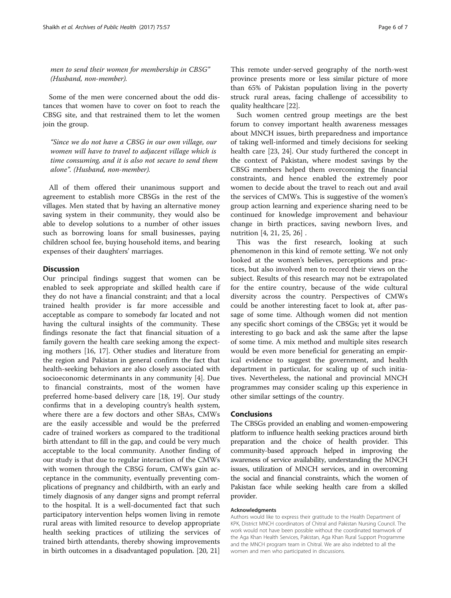men to send their women for membership in CBSG" (Husband, non-member).

Some of the men were concerned about the odd distances that women have to cover on foot to reach the CBSG site, and that restrained them to let the women join the group.

"Since we do not have a CBSG in our own village, our women will have to travel to adjacent village which is time consuming, and it is also not secure to send them alone". (Husband, non-member).

All of them offered their unanimous support and agreement to establish more CBSGs in the rest of the villages. Men stated that by having an alternative money saving system in their community, they would also be able to develop solutions to a number of other issues such as borrowing loans for small businesses, paying children school fee, buying household items, and bearing expenses of their daughters' marriages.

## **Discussion**

Our principal findings suggest that women can be enabled to seek appropriate and skilled health care if they do not have a financial constraint; and that a local trained health provider is far more accessible and acceptable as compare to somebody far located and not having the cultural insights of the community. These findings resonate the fact that financial situation of a family govern the health care seeking among the expecting mothers [\[16](#page-6-0), [17](#page-6-0)]. Other studies and literature from the region and Pakistan in general confirm the fact that health-seeking behaviors are also closely associated with socioeconomic determinants in any community [\[4](#page-6-0)]. Due to financial constraints, most of the women have preferred home-based delivery care [\[18](#page-6-0), [19](#page-6-0)]. Our study confirms that in a developing country's health system, where there are a few doctors and other SBAs, CMWs are the easily accessible and would be the preferred cadre of trained workers as compared to the traditional birth attendant to fill in the gap, and could be very much acceptable to the local community. Another finding of our study is that due to regular interaction of the CMWs with women through the CBSG forum, CMWs gain acceptance in the community, eventually preventing complications of pregnancy and childbirth, with an early and timely diagnosis of any danger signs and prompt referral to the hospital. It is a well-documented fact that such participatory intervention helps women living in remote rural areas with limited resource to develop appropriate health seeking practices of utilizing the services of trained birth attendants, thereby showing improvements in birth outcomes in a disadvantaged population. [[20](#page-6-0), [21](#page-6-0)]

This remote under-served geography of the north-west province presents more or less similar picture of more than 65% of Pakistan population living in the poverty struck rural areas, facing challenge of accessibility to quality healthcare [\[22\]](#page-6-0).

Such women centred group meetings are the best forum to convey important health awareness messages about MNCH issues, birth preparedness and importance of taking well-informed and timely decisions for seeking health care [[23, 24](#page-6-0)]. Our study furthered the concept in the context of Pakistan, where modest savings by the CBSG members helped them overcoming the financial constraints, and hence enabled the extremely poor women to decide about the travel to reach out and avail the services of CMWs. This is suggestive of the women's group action learning and experience sharing need to be continued for knowledge improvement and behaviour change in birth practices, saving newborn lives, and nutrition [\[4](#page-6-0), [21](#page-6-0), [25, 26\]](#page-6-0) .

This was the first research, looking at such phenomenon in this kind of remote setting. We not only looked at the women's believes, perceptions and practices, but also involved men to record their views on the subject. Results of this research may not be extrapolated for the entire country, because of the wide cultural diversity across the country. Perspectives of CMWs could be another interesting facet to look at, after passage of some time. Although women did not mention any specific short comings of the CBSGs; yet it would be interesting to go back and ask the same after the lapse of some time. A mix method and multiple sites research would be even more beneficial for generating an empirical evidence to suggest the government, and health department in particular, for scaling up of such initiatives. Nevertheless, the national and provincial MNCH programmes may consider scaling up this experience in other similar settings of the country.

#### Conclusions

The CBSGs provided an enabling and women-empowering platform to influence health seeking practices around birth preparation and the choice of health provider. This community-based approach helped in improving the awareness of service availability, understanding the MNCH issues, utilization of MNCH services, and in overcoming the social and financial constraints, which the women of Pakistan face while seeking health care from a skilled provider.

#### Acknowledgments

Authors would like to express their gratitude to the Health Department of KPK, District MNCH coordinators of Chitral and Pakistan Nursing Council. The work would not have been possible without the coordinated teamwork of the Aga Khan Health Services, Pakistan, Aga Khan Rural Support Programme and the MNCH program team in Chitral. We are also indebted to all the women and men who participated in discussions.